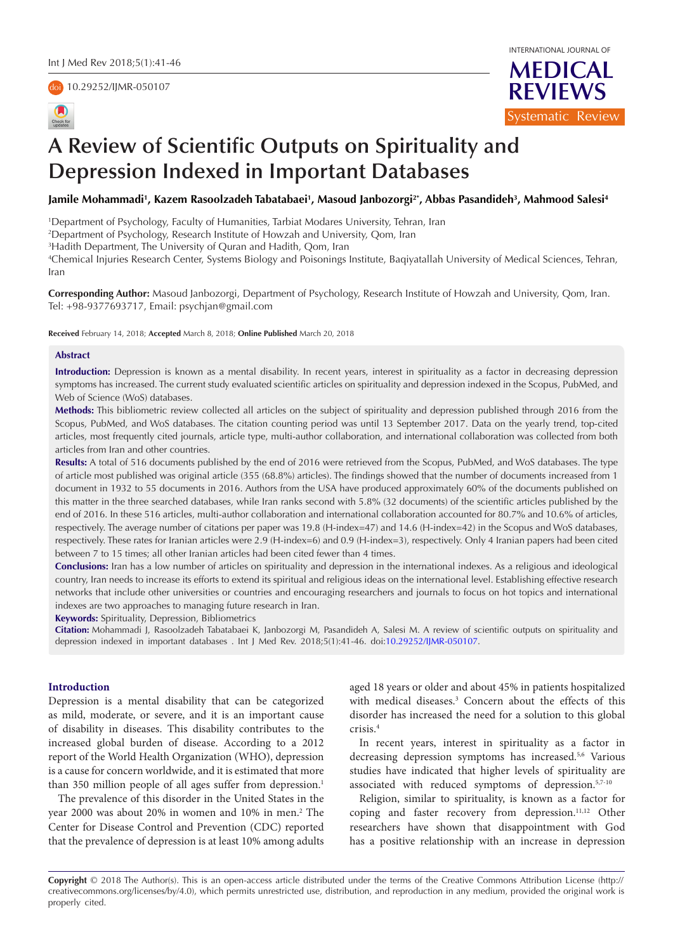# doi [10.29252/IJMR-050107](https://doi.org/10.29252/IJMR-050107)





# **A Review of Scientific Outputs on Spirituality and Depression Indexed in Important Databases**

Jamile Mohammadi', Kazem Rasoolzadeh Tabatabaei', Masoud Janbozorgi<sup>2</sup>', Abbas Pasandideh<sup>3</sup>, Mahmood Salesi<del>'</del>

1 Department of Psychology, Faculty of Humanities, Tarbiat Modares University, Tehran, Iran

2 Department of Psychology, Research Institute of Howzah and University, Qom, Iran

3 Hadith Department, The University of Quran and Hadith, Qom, Iran

4 Chemical Injuries Research Center, Systems Biology and Poisonings Institute, Baqiyatallah University of Medical Sciences, Tehran, Iran

**Corresponding Author:** Masoud Janbozorgi, Department of Psychology, Research Institute of Howzah and University, Qom, Iran. Tel: +98-9377693717, Email: psychjan@gmail.com

**Received** February 14, 2018; **Accepted** March 8, 2018; **Online Published** March 20, 2018

## **Abstract**

**Introduction:** Depression is known as a mental disability. In recent years, interest in spirituality as a factor in decreasing depression symptoms has increased. The current study evaluated scientific articles on spirituality and depression indexed in the Scopus, PubMed, and Web of Science (WoS) databases.

**Methods:** This bibliometric review collected all articles on the subject of spirituality and depression published through 2016 from the Scopus, PubMed, and WoS databases. The citation counting period was until 13 September 2017. Data on the yearly trend, top-cited articles, most frequently cited journals, article type, multi-author collaboration, and international collaboration was collected from both articles from Iran and other countries.

**Results:** A total of 516 documents published by the end of 2016 were retrieved from the Scopus, PubMed, and WoS databases. The type of article most published was original article (355 (68.8%) articles). The findings showed that the number of documents increased from 1 document in 1932 to 55 documents in 2016. Authors from the USA have produced approximately 60% of the documents published on this matter in the three searched databases, while Iran ranks second with 5.8% (32 documents) of the scientific articles published by the end of 2016. In these 516 articles, multi-author collaboration and international collaboration accounted for 80.7% and 10.6% of articles, respectively. The average number of citations per paper was 19.8 (H-index=47) and 14.6 (H-index=42) in the Scopus and WoS databases, respectively. These rates for Iranian articles were 2.9 (H-index=6) and 0.9 (H-index=3), respectively. Only 4 Iranian papers had been cited between 7 to 15 times; all other Iranian articles had been cited fewer than 4 times.

**Conclusions:** Iran has a low number of articles on spirituality and depression in the international indexes. As a religious and ideological country, Iran needs to increase its efforts to extend its spiritual and religious ideas on the international level. Establishing effective research networks that include other universities or countries and encouraging researchers and journals to focus on hot topics and international indexes are two approaches to managing future research in Iran.

**Keywords:** Spirituality, Depression, Bibliometrics

**Citation:** Mohammadi J, Rasoolzadeh Tabatabaei K, Janbozorgi M, Pasandideh A, Salesi M. A review of scientific outputs on spirituality and depression indexed in important databases . Int J Med Rev. 2018;5(1):41-46. doi[:10.29252/IJMR-05010](https://doi.org/10.29252/IJMR-050107)7.

# **Introduction**

Depression is a mental disability that can be categorized as mild, moderate, or severe, and it is an important cause of disability in diseases. This disability contributes to the increased global burden of disease. According to a 2012 report of the World Health Organization (WHO), depression is a cause for concern worldwide, and it is estimated that more than 350 million people of all ages suffer from depression.<sup>1</sup>

The prevalence of this disorder in the United States in the year 2000 was about 20% in women and 10% in men.<sup>2</sup> The Center for Disease Control and Prevention (CDC) reported that the prevalence of depression is at least 10% among adults aged 18 years or older and about 45% in patients hospitalized with medical diseases.<sup>3</sup> Concern about the effects of this disorder has increased the need for a solution to this global crisis.4

In recent years, interest in spirituality as a factor in decreasing depression symptoms has increased.<sup>5,6</sup> Various studies have indicated that higher levels of spirituality are associated with reduced symptoms of depression.<sup>5,7-10</sup>

Religion, similar to spirituality, is known as a factor for coping and faster recovery from depression.11,12 Other researchers have shown that disappointment with God has a positive relationship with an increase in depression

**Copyright** © 2018 The Author(s). This is an open-access article distributed under the terms of the Creative Commons Attribution License (http:// creativecommons.org/licenses/by/4.0), which permits unrestricted use, distribution, and reproduction in any medium, provided the original work is properly cited.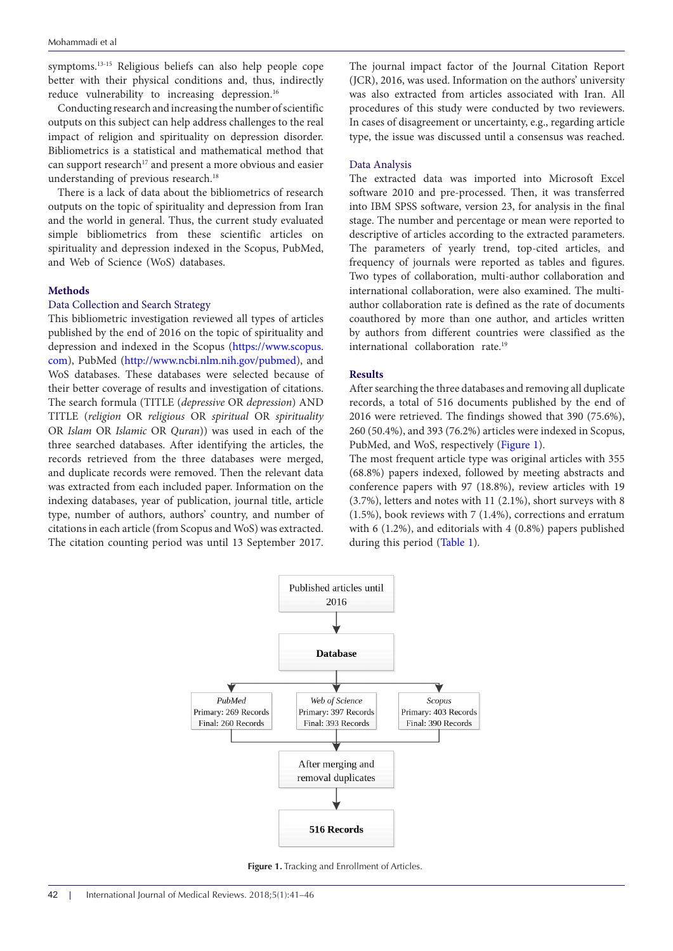symptoms.13-15 Religious beliefs can also help people cope better with their physical conditions and, thus, indirectly reduce vulnerability to increasing depression.<sup>16</sup>

Conducting research and increasing the number of scientific outputs on this subject can help address challenges to the real impact of religion and spirituality on depression disorder. Bibliometrics is a statistical and mathematical method that can support research<sup>17</sup> and present a more obvious and easier understanding of previous research.<sup>18</sup>

There is a lack of data about the bibliometrics of research outputs on the topic of spirituality and depression from Iran and the world in general. Thus, the current study evaluated simple bibliometrics from these scientific articles on spirituality and depression indexed in the Scopus, PubMed, and Web of Science (WoS) databases.

# **Methods**

# Data Collection and Search Strategy

This bibliometric investigation reviewed all types of articles published by the end of 2016 on the topic of spirituality and depression and indexed in the Scopus ([https://www.scopus.](https://www.scopus.com) [com\)](https://www.scopus.com), PubMed [\(http://www.ncbi.nlm.nih.gov/pubmed](http://www.ncbi.nlm.nih.gov/pubmed)), and WoS databases. These databases were selected because of their better coverage of results and investigation of citations. The search formula (TITLE (*depressive* OR *depression*) AND TITLE (*religion* OR *religious* OR *spiritual* OR *spirituality* OR *Islam* OR *Islamic* OR *Quran*)) was used in each of the three searched databases. After identifying the articles, the records retrieved from the three databases were merged, and duplicate records were removed. Then the relevant data was extracted from each included paper. Information on the indexing databases, year of publication, journal title, article type, number of authors, authors' country, and number of citations in each article (from Scopus and WoS) was extracted. The citation counting period was until 13 September 2017. The journal impact factor of the Journal Citation Report (JCR), 2016, was used. Information on the authors' university was also extracted from articles associated with Iran. All procedures of this study were conducted by two reviewers. In cases of disagreement or uncertainty, e.g., regarding article type, the issue was discussed until a consensus was reached.

## Data Analysis

The extracted data was imported into Microsoft Excel software 2010 and pre-processed. Then, it was transferred into IBM SPSS software, version 23, for analysis in the final stage. The number and percentage or mean were reported to descriptive of articles according to the extracted parameters. The parameters of yearly trend, top-cited articles, and frequency of journals were reported as tables and figures. Two types of collaboration, multi-author collaboration and international collaboration, were also examined. The multiauthor collaboration rate is defined as the rate of documents coauthored by more than one author, and articles written by authors from different countries were classified as the international collaboration rate.<sup>19</sup>

## **Results**

After searching the three databases and removing all duplicate records, a total of 516 documents published by the end of 2016 were retrieved. The findings showed that 390 (75.6%), 260 (50.4%), and 393 (76.2%) articles were indexed in Scopus, PubMed, and WoS, respectively [\(Figure 1\)](#page-1-0).

<span id="page-1-0"></span>The most frequent article type was original articles with 355 (68.8%) papers indexed, followed by meeting abstracts and conference papers with 97 (18.8%), review articles with 19 (3.7%), letters and notes with 11 (2.1%), short surveys with 8 (1.5%), book reviews with 7 (1.4%), corrections and erratum with 6 (1.2%), and editorials with 4 (0.8%) papers published during this period ([Table 1\)](#page-2-0).



**Figure 1.** Tracking and Enrollment of Articles.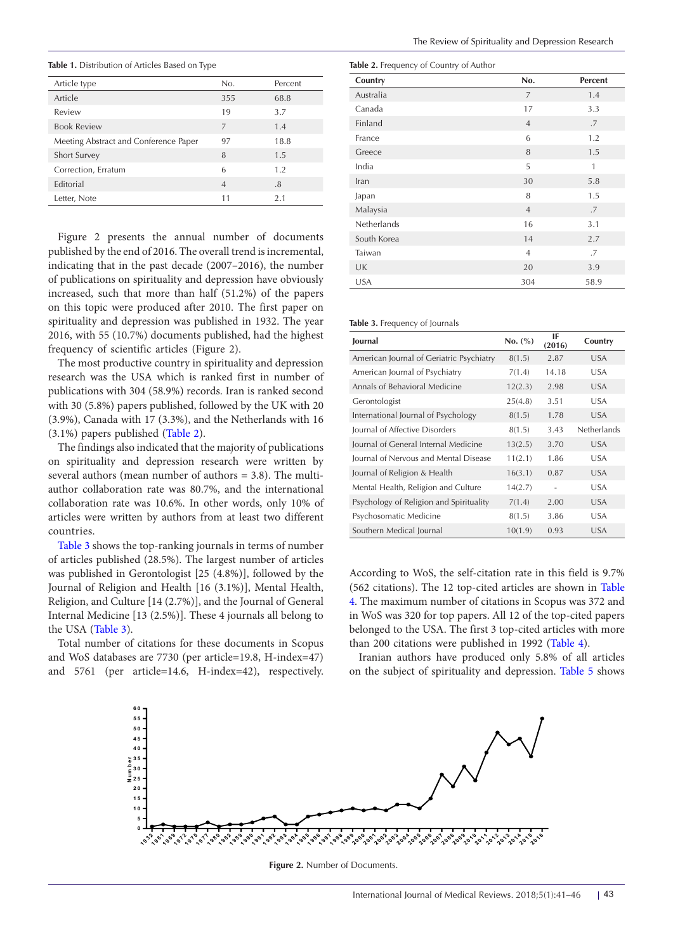<span id="page-2-0"></span>**Table 1.** Distribution of Articles Based on Type

| Article type                          | No.            | Percent |
|---------------------------------------|----------------|---------|
| Article                               | 355            | 68.8    |
| Review                                | 19             | 3.7     |
| <b>Book Review</b>                    | 7              | 1.4     |
| Meeting Abstract and Conference Paper | 97             | 18.8    |
| Short Survey                          | 8              | 1.5     |
| Correction, Erratum                   | 6              | 1.2     |
| <b>Editorial</b>                      | $\overline{4}$ | .8      |
| Letter, Note                          | 11             | 2.1     |

Figure 2 presents the annual number of documents published by the end of 2016. The overall trend is incremental, indicating that in the past decade (2007–2016), the number of publications on spirituality and depression have obviously increased, such that more than half (51.2%) of the papers on this topic were produced after 2010. The first paper on spirituality and depression was published in 1932. The year 2016, with 55 (10.7%) documents published, had the highest frequency of scientific articles (Figure 2).

The most productive country in spirituality and depression research was the USA which is ranked first in number of publications with 304 (58.9%) records. Iran is ranked second with 30 (5.8%) papers published, followed by the UK with 20 (3.9%), Canada with 17 (3.3%), and the Netherlands with 16 (3.1%) papers published ([Table 2](#page-2-1)).

The findings also indicated that the majority of publications on spirituality and depression research were written by several authors (mean number of authors = 3.8). The multiauthor collaboration rate was 80.7%, and the international collaboration rate was 10.6%. In other words, only 10% of articles were written by authors from at least two different countries.

[Table 3](#page-2-2) shows the top-ranking journals in terms of number of articles published (28.5%). The largest number of articles was published in Gerontologist [25 (4.8%)], followed by the Journal of Religion and Health [16 (3.1%)], Mental Health, Religion, and Culture [14 (2.7%)], and the Journal of General Internal Medicine [13 (2.5%)]. These 4 journals all belong to the USA [\(Table 3\)](#page-2-2).

Total number of citations for these documents in Scopus and WoS databases are 7730 (per article=19.8, H-index=47) and 5761 (per article=14.6, H-index=42), respectively.

<span id="page-2-1"></span>

|  |  | Table 2. Frequency of Country of Author |  |
|--|--|-----------------------------------------|--|
|  |  |                                         |  |

| Country     | No.            | Percent |
|-------------|----------------|---------|
| Australia   | $\overline{7}$ | 1.4     |
| Canada      | 17             | 3.3     |
| Finland     | $\overline{4}$ | .7      |
| France      | 6              | 1.2     |
| Greece      | 8              | 1.5     |
| India       | 5              | 1       |
| Iran        | 30             | 5.8     |
| Japan       | 8              | 1.5     |
| Malaysia    | $\overline{4}$ | .7      |
| Netherlands | 16             | 3.1     |
| South Korea | 14             | 2.7     |
| Taiwan      | $\overline{4}$ | .7      |
| UK          | 20             | 3.9     |
| <b>USA</b>  | 304            | 58.9    |

#### <span id="page-2-2"></span>**Table 3.** Frequency of Journals

| Journal                                  | No. (%) | IF<br>(2016)   | Country     |
|------------------------------------------|---------|----------------|-------------|
| American Journal of Geriatric Psychiatry | 8(1.5)  | 2.87           | <b>USA</b>  |
| American Journal of Psychiatry           | 7(1.4)  | 14.18          | <b>USA</b>  |
| Annals of Behavioral Medicine            | 12(2.3) | 2.98           | <b>USA</b>  |
| Gerontologist                            | 25(4.8) | 3.51           | <b>USA</b>  |
| International Journal of Psychology      | 8(1.5)  | 1.78           | <b>USA</b>  |
| Journal of Affective Disorders           | 8(1.5)  | 3.43           | Netherlands |
| Journal of General Internal Medicine     | 13(2.5) | 3.70           | <b>USA</b>  |
| Journal of Nervous and Mental Disease    | 11(2.1) | 1.86           | <b>USA</b>  |
| Journal of Religion & Health             | 16(3.1) | 0.87           | <b>USA</b>  |
| Mental Health, Religion and Culture      | 14(2.7) | $\overline{a}$ | <b>USA</b>  |
| Psychology of Religion and Spirituality  | 7(1.4)  | 2.00           | <b>USA</b>  |
| Psychosomatic Medicine                   | 8(1.5)  | 3.86           | <b>USA</b>  |
| Southern Medical Journal                 | 10(1.9) | 0.93           | <b>USA</b>  |

According to WoS, the self-citation rate in this field is 9.7% (562 citations). The 12 top-cited articles are shown in [Table](#page-3-0)  [4.](#page-3-0) The maximum number of citations in Scopus was 372 and in WoS was 320 for top papers. All 12 of the top-cited papers belonged to the USA. The first 3 top-cited articles with more than 200 citations were published in 1992 ([Table 4](#page-3-0)).

Iranian authors have produced only 5.8% of all articles on the subject of spirituality and depression. [Table 5](#page-3-1) shows



Figure 2. Number of Documents.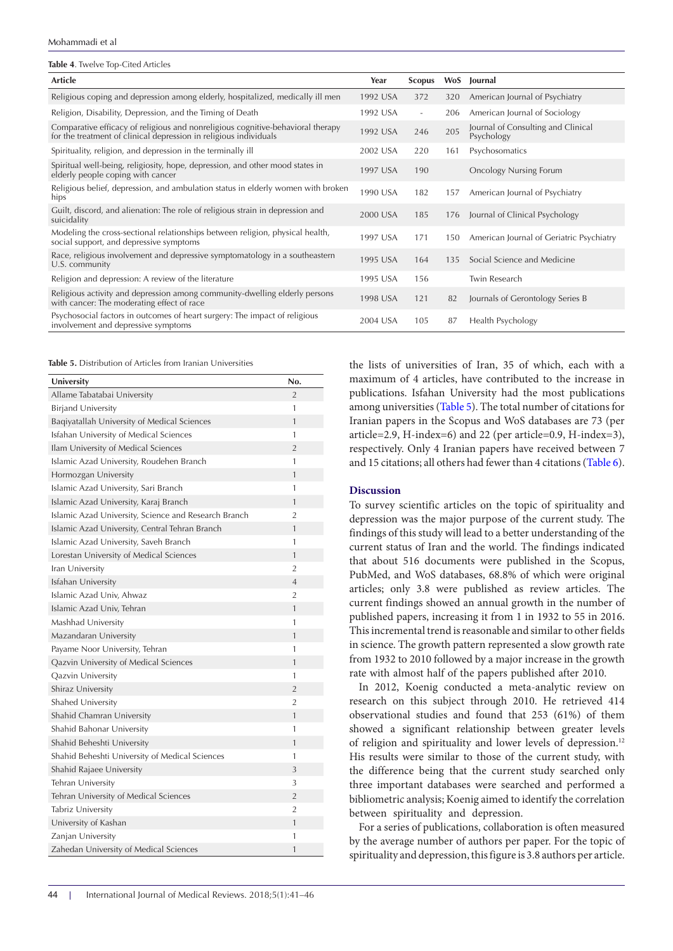| Mohammadi et al |  |  |
|-----------------|--|--|
|-----------------|--|--|

<span id="page-3-0"></span>

| Table 4. Twelve Top-Cited Articles                                                                                                                   |          |                          |     |                                                  |
|------------------------------------------------------------------------------------------------------------------------------------------------------|----------|--------------------------|-----|--------------------------------------------------|
| Article                                                                                                                                              | Year     | <b>Scopus</b>            | WoS | Journal                                          |
| Religious coping and depression among elderly, hospitalized, medically ill men                                                                       | 1992 USA | 372                      | 320 | American Journal of Psychiatry                   |
| Religion, Disability, Depression, and the Timing of Death                                                                                            | 1992 USA | $\overline{\phantom{a}}$ | 206 | American Journal of Sociology                    |
| Comparative efficacy of religious and nonreligious cognitive-behavioral therapy<br>for the treatment of clinical depression in religious individuals | 1992 USA | 246                      | 205 | Journal of Consulting and Clinical<br>Psychology |
| Spirituality, religion, and depression in the terminally ill                                                                                         | 2002 USA | 220                      | 161 | Psychosomatics                                   |
| Spiritual well-being, religiosity, hope, depression, and other mood states in<br>elderly people coping with cancer                                   | 1997 USA | 190                      |     | <b>Oncology Nursing Forum</b>                    |
| Religious belief, depression, and ambulation status in elderly women with broken<br>hips                                                             | 1990 USA | 182                      | 157 | American Journal of Psychiatry                   |
| Guilt, discord, and alienation: The role of religious strain in depression and<br>suicidality                                                        | 2000 USA | 185                      | 176 | Journal of Clinical Psychology                   |
| Modeling the cross-sectional relationships between religion, physical health,<br>social support, and depressive symptoms                             | 1997 USA | 171                      | 150 | American Journal of Geriatric Psychiatry         |
| Race, religious involvement and depressive symptomatology in a southeastern<br>U.S. community                                                        | 1995 USA | 164                      | 135 | Social Science and Medicine                      |
| Religion and depression: A review of the literature                                                                                                  | 1995 USA | 156                      |     | Twin Research                                    |
| Religious activity and depression among community-dwelling elderly persons<br>with cancer: The moderating effect of race                             | 1998 USA | 121                      | 82  | Journals of Gerontology Series B                 |
| Psychosocial factors in outcomes of heart surgery: The impact of religious<br>involvement and depressive symptoms                                    | 2004 USA | 105                      | 87  | Health Psychology                                |

<span id="page-3-1"></span>**Table 5.** Distribution of Articles from Iranian Universities

| University                                           | No.            |
|------------------------------------------------------|----------------|
| Allame Tabatabai University                          | $\overline{2}$ |
| <b>Birjand University</b>                            | 1              |
| Baqiyatallah University of Medical Sciences          | 1              |
| Isfahan University of Medical Sciences               | 1              |
| Ilam University of Medical Sciences                  | $\overline{2}$ |
| Islamic Azad University, Roudehen Branch             | 1              |
| Hormozgan University                                 | 1              |
| Islamic Azad University, Sari Branch                 | 1              |
| Islamic Azad University, Karaj Branch                | 1              |
| Islamic Azad University, Science and Research Branch | $\overline{2}$ |
| Islamic Azad University, Central Tehran Branch       | 1              |
| Islamic Azad University, Saveh Branch                | 1              |
| Lorestan University of Medical Sciences              | 1              |
| Iran University                                      | $\overline{2}$ |
| Isfahan University                                   | $\overline{4}$ |
| Islamic Azad Univ, Ahwaz                             | $\overline{2}$ |
| Islamic Azad Univ, Tehran                            | 1              |
| Mashhad University                                   | 1              |
| Mazandaran University                                | 1              |
| Payame Noor University, Tehran                       | 1              |
| Qazvin University of Medical Sciences                | 1              |
| Qazvin University                                    | 1              |
| Shiraz University                                    | $\overline{2}$ |
| Shahed University                                    | $\overline{2}$ |
| Shahid Chamran University                            | 1              |
| Shahid Bahonar University                            | 1              |
| Shahid Beheshti University                           | $\mathbf{1}$   |
| Shahid Beheshti University of Medical Sciences       | 1              |
| Shahid Rajaee University                             | 3              |
| Tehran University                                    | 3              |
| Tehran University of Medical Sciences                | $\overline{2}$ |
| Tabriz University                                    | $\overline{2}$ |
| University of Kashan                                 | 1              |
| Zanjan University                                    | 1              |
| Zahedan University of Medical Sciences               | 1              |

the lists of universities of Iran, 35 of which, each with a maximum of 4 articles, have contributed to the increase in publications. Isfahan University had the most publications among universities [\(Table 5](#page-3-1)). The total number of citations for Iranian papers in the Scopus and WoS databases are 73 (per article=2.9, H-index=6) and 22 (per article=0.9, H-index=3), respectively. Only 4 Iranian papers have received between 7 and 15 citations; all others had fewer than 4 citations [\(Table 6](#page-4-0)).

## **Discussion**

To survey scientific articles on the topic of spirituality and depression was the major purpose of the current study. The findings of this study will lead to a better understanding of the current status of Iran and the world. The findings indicated that about 516 documents were published in the Scopus, PubMed, and WoS databases, 68.8% of which were original articles; only 3.8 were published as review articles. The current findings showed an annual growth in the number of published papers, increasing it from 1 in 1932 to 55 in 2016. This incremental trend is reasonable and similar to other fields in science. The growth pattern represented a slow growth rate from 1932 to 2010 followed by a major increase in the growth rate with almost half of the papers published after 2010.

In 2012, Koenig conducted a meta-analytic review on research on this subject through 2010. He retrieved 414 observational studies and found that 253 (61%) of them showed a significant relationship between greater levels of religion and spirituality and lower levels of depression.<sup>12</sup> His results were similar to those of the current study, with the difference being that the current study searched only three important databases were searched and performed a bibliometric analysis; Koenig aimed to identify the correlation between spirituality and depression.

For a series of publications, collaboration is often measured by the average number of authors per paper. For the topic of spirituality and depression, this figure is 3.8 authors per article.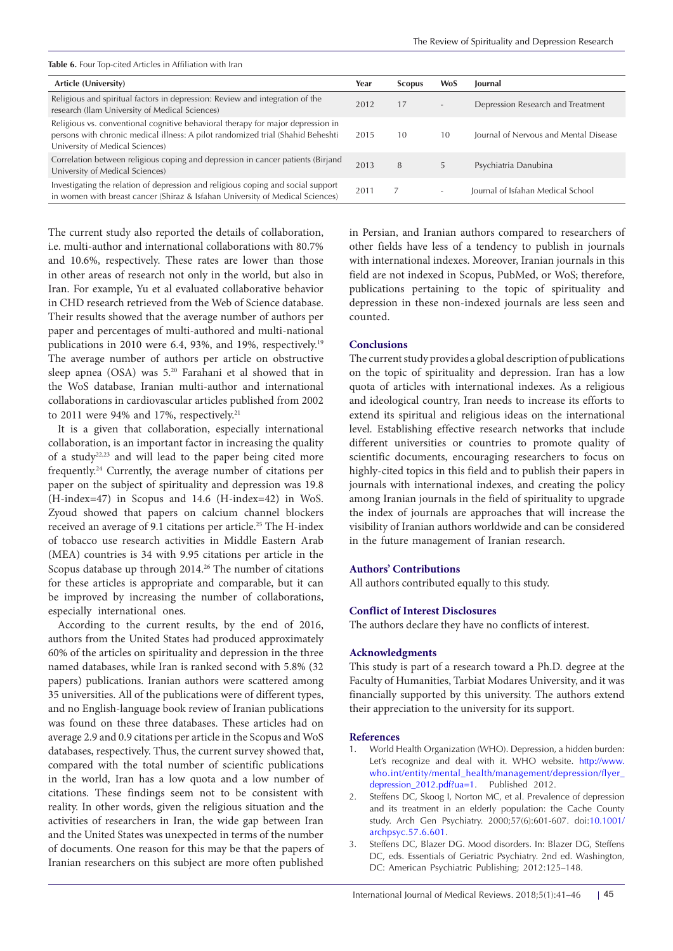<span id="page-4-0"></span>**Table 6.** Four Top-cited Articles in Affiliation with Iran

| Article (University)                                                                                                                                                                                  | Year | <b>Scopus</b> | <b>WoS</b>               | <b>lournal</b>                        |
|-------------------------------------------------------------------------------------------------------------------------------------------------------------------------------------------------------|------|---------------|--------------------------|---------------------------------------|
| Religious and spiritual factors in depression: Review and integration of the<br>research (Ilam University of Medical Sciences)                                                                        | 2012 | 17            | $\overline{\phantom{a}}$ | Depression Research and Treatment     |
| Religious vs. conventional cognitive behavioral therapy for major depression in<br>persons with chronic medical illness: A pilot randomized trial (Shahid Beheshti<br>University of Medical Sciences) | 2015 | 10            | 10                       | Journal of Nervous and Mental Disease |
| Correlation between religious coping and depression in cancer patients (Birjand<br>University of Medical Sciences)                                                                                    | 2013 | 8             |                          | Psychiatria Danubina                  |
| Investigating the relation of depression and religious coping and social support<br>in women with breast cancer (Shiraz & Isfahan University of Medical Sciences)                                     | 2011 |               |                          | Journal of Isfahan Medical School     |

The current study also reported the details of collaboration, i.e. multi-author and international collaborations with 80.7% and 10.6%, respectively. These rates are lower than those in other areas of research not only in the world, but also in Iran. For example, Yu et al evaluated collaborative behavior in CHD research retrieved from the Web of Science database. Their results showed that the average number of authors per paper and percentages of multi-authored and multi-national publications in 2010 were 6.4, 93%, and 19%, respectively.<sup>19</sup> The average number of authors per article on obstructive sleep apnea (OSA) was 5.20 Farahani et al showed that in the WoS database, Iranian multi-author and international collaborations in cardiovascular articles published from 2002 to 2011 were 94% and 17%, respectively.<sup>21</sup>

It is a given that collaboration, especially international collaboration, is an important factor in increasing the quality of a study22,23 and will lead to the paper being cited more frequently.24 Currently, the average number of citations per paper on the subject of spirituality and depression was 19.8 (H-index=47) in Scopus and 14.6 (H-index=42) in WoS. Zyoud showed that papers on calcium channel blockers received an average of 9.1 citations per article.<sup>25</sup> The H-index of tobacco use research activities in Middle Eastern Arab (MEA) countries is 34 with 9.95 citations per article in the Scopus database up through 2014.<sup>26</sup> The number of citations for these articles is appropriate and comparable, but it can be improved by increasing the number of collaborations, especially international ones.

According to the current results, by the end of 2016, authors from the United States had produced approximately 60% of the articles on spirituality and depression in the three named databases, while Iran is ranked second with 5.8% (32 papers) publications. Iranian authors were scattered among 35 universities. All of the publications were of different types, and no English-language book review of Iranian publications was found on these three databases. These articles had on average 2.9 and 0.9 citations per article in the Scopus and WoS databases, respectively. Thus, the current survey showed that, compared with the total number of scientific publications in the world, Iran has a low quota and a low number of citations. These findings seem not to be consistent with reality. In other words, given the religious situation and the activities of researchers in Iran, the wide gap between Iran and the United States was unexpected in terms of the number of documents. One reason for this may be that the papers of Iranian researchers on this subject are more often published

in Persian, and Iranian authors compared to researchers of other fields have less of a tendency to publish in journals with international indexes. Moreover, Iranian journals in this field are not indexed in Scopus, PubMed, or WoS; therefore, publications pertaining to the topic of spirituality and depression in these non-indexed journals are less seen and counted.

# **Conclusions**

The current study provides a global description of publications on the topic of spirituality and depression. Iran has a low quota of articles with international indexes. As a religious and ideological country, Iran needs to increase its efforts to extend its spiritual and religious ideas on the international level. Establishing effective research networks that include different universities or countries to promote quality of scientific documents, encouraging researchers to focus on highly-cited topics in this field and to publish their papers in journals with international indexes, and creating the policy among Iranian journals in the field of spirituality to upgrade the index of journals are approaches that will increase the visibility of Iranian authors worldwide and can be considered in the future management of Iranian research.

# **Authors' Contributions**

All authors contributed equally to this study.

## **Conflict of Interest Disclosures**

The authors declare they have no conflicts of interest.

## **Acknowledgments**

This study is part of a research toward a Ph.D. degree at the Faculty of [Humanities,](http://modares.ac.ir/en/Schools/hum) Tarbiat Modares University, and it was financially supported by this university. The authors extend their appreciation to the university for its support.

### **References**

- 1. World Health Organization (WHO). Depression, a hidden burden: Let's recognize and deal with it. WHO website. [http://www.](http://www.who.int/entity/mental_health/management/depression/flyer_depression_2012.pdf?ua=1) [who.int/entity/mental\\_health/management/depression/flyer\\_](http://www.who.int/entity/mental_health/management/depression/flyer_depression_2012.pdf?ua=1) [depression\\_2012.pdf?ua=1.](http://www.who.int/entity/mental_health/management/depression/flyer_depression_2012.pdf?ua=1) Published 2012.
- Steffens DC, Skoog I, Norton MC, et al. Prevalence of depression and its treatment in an elderly population: the Cache County study. Arch Gen Psychiatry. 2000;57(6):601-607. doi:[10.1001/](https://doi.org/10.1001/archpsyc.57.6.601) [archpsyc.57.6.601](https://doi.org/10.1001/archpsyc.57.6.601).
- 3. Steffens DC, Blazer DG. Mood disorders. In: Blazer DG, Steffens DC, eds. Essentials of Geriatric Psychiatry. 2nd ed. Washington, DC: American Psychiatric Publishing; 2012:125–148.